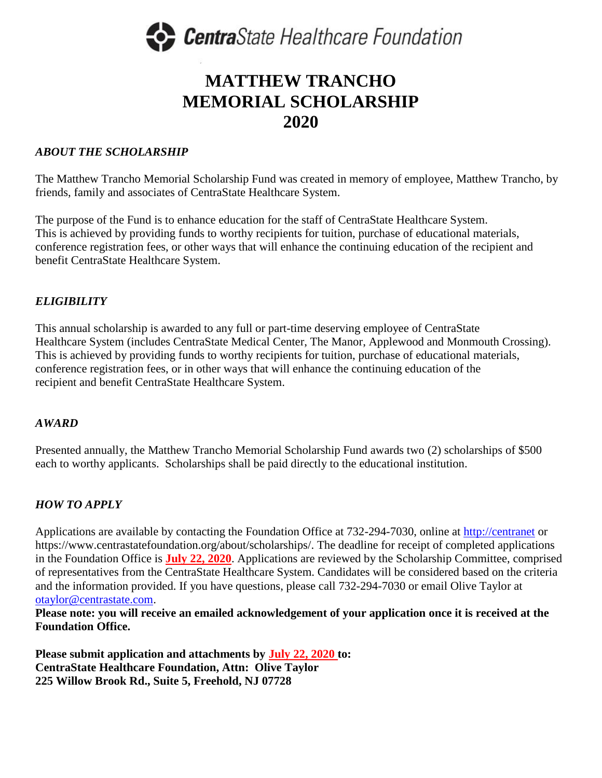

# **MATTHEW TRANCHO MEMORIAL SCHOLARSHIP 2020**

## *ABOUT THE SCHOLARSHIP*

The Matthew Trancho Memorial Scholarship Fund was created in memory of employee, Matthew Trancho, by friends, family and associates of CentraState Healthcare System.

The purpose of the Fund is to enhance education for the staff of CentraState Healthcare System. This is achieved by providing funds to worthy recipients for tuition, purchase of educational materials, conference registration fees, or other ways that will enhance the continuing education of the recipient and benefit CentraState Healthcare System.

### *ELIGIBILITY*

This annual scholarship is awarded to any full or part-time deserving employee of CentraState Healthcare System (includes CentraState Medical Center, The Manor, Applewood and Monmouth Crossing). This is achieved by providing funds to worthy recipients for tuition, purchase of educational materials, conference registration fees, or in other ways that will enhance the continuing education of the recipient and benefit CentraState Healthcare System.

#### *AWARD*

Presented annually, the Matthew Trancho Memorial Scholarship Fund awards two (2) scholarships of \$500 each to worthy applicants. Scholarships shall be paid directly to the educational institution.

# *HOW TO APPLY*

Applications are available by contacting the Foundation Office at 732-294-7030, online at [http://centranet](http://centranet/) or https://www.centrastatefoundation.org/about/scholarships/. The deadline for receipt of completed applications in the Foundation Office is **July 22, 2020**. Applications are reviewed by the Scholarship Committee, comprised of representatives from the CentraState Healthcare System. Candidates will be considered based on the criteria and the information provided. If you have questions, please call 732-294-7030 or email Olive Taylor at [otaylor@centrastate.com.](mailto:otaylor@centrastate.com)

**Please note: you will receive an emailed acknowledgement of your application once it is received at the Foundation Office.**

**Please submit application and attachments by July 22, 2020 to: CentraState Healthcare Foundation, Attn: Olive Taylor 225 Willow Brook Rd., Suite 5, Freehold, NJ 07728**